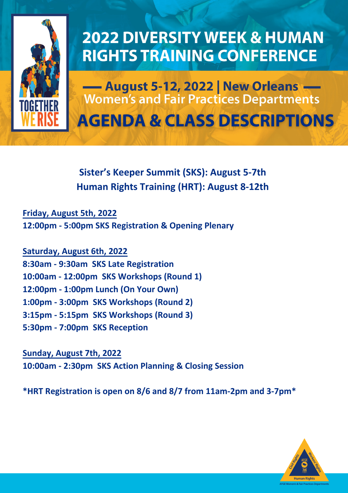

## **2022 DIVERSITY WEEK & HUMAN RIGHTS TRAINING CONFERENCE**

- August 5-12, 2022 | New Orleans **Women's and Fair Practices Departments AGENDA & CLASS DESCRIPTIONS** 

### **Sister's Keeper Summit (SKS): August 5-7th Human Rights Training (HRT): August 8-12th**

**Friday, August 5th, 2022 12:00pm - 5:00pm SKS Registration & Opening Plenary**

**Saturday, August 6th, 2022 8:30am - 9:30am SKS Late Registration 10:00am - 12:00pm SKS Workshops (Round 1) 12:00pm - 1:00pm Lunch (On Your Own) 1:00pm - 3:00pm SKS Workshops (Round 2) 3:15pm - 5:15pm SKS Workshops (Round 3) 5:30pm - 7:00pm SKS Reception**

**Sunday, August 7th, 2022 10:00am - 2:30pm SKS Action Planning & Closing Session** 

**\*HRT Registration is open on 8/6 and 8/7 from 11am-2pm and 3-7pm\***

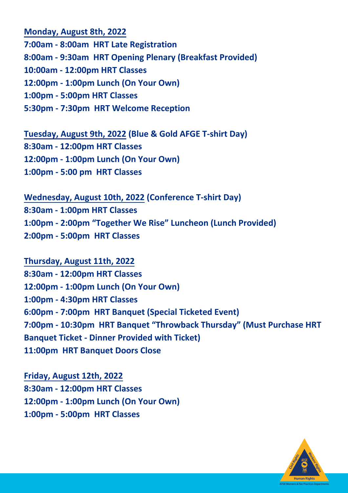**Monday, August 8th, 2022**

**7:00am - 8:00am HRT Late Registration 8:00am - 9:30am HRT Opening Plenary (Breakfast Provided) 10:00am - 12:00pm HRT Classes 12:00pm - 1:00pm Lunch (On Your Own) 1:00pm - 5:00pm HRT Classes 5:30pm - 7:30pm HRT Welcome Reception**

**Tuesday, August 9th, 2022 (Blue & Gold AFGE T-shirt Day) 8:30am - 12:00pm HRT Classes 12:00pm - 1:00pm Lunch (On Your Own) 1:00pm - 5:00 pm HRT Classes**

**Wednesday, August 10th, 2022 (Conference T-shirt Day) 8:30am - 1:00pm HRT Classes 1:00pm - 2:00pm "Together We Rise" Luncheon (Lunch Provided) 2:00pm - 5:00pm HRT Classes**

**Thursday, August 11th, 2022 8:30am - 12:00pm HRT Classes 12:00pm - 1:00pm Lunch (On Your Own) 1:00pm - 4:30pm HRT Classes 6:00pm - 7:00pm HRT Banquet (Special Ticketed Event) 7:00pm - 10:30pm HRT Banquet "Throwback Thursday" (Must Purchase HRT Banquet Ticket - Dinner Provided with Ticket) 11:00pm HRT Banquet Doors Close**

**Friday, August 12th, 2022 8:30am - 12:00pm HRT Classes 12:00pm - 1:00pm Lunch (On Your Own) 1:00pm - 5:00pm HRT Classes**

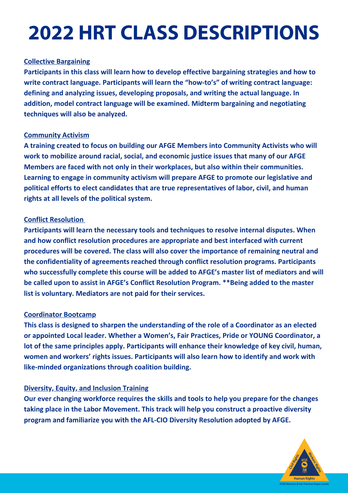# **2022 HRT CLASS DESCRIPTIONS**

#### **Collective Bargaining**

**Participants in this class will learn how to develop effective bargaining strategies and how to write contract language. Participants will learn the "how‐to's" of writing contract language: defining and analyzing issues, developing proposals, and writing the actual language. In addition, model contract language will be examined. Midterm bargaining and negotiating techniques will also be analyzed.**

#### **Community Activism**

**A training created to focus on building our AFGE Members into Community Activists who will work to mobilize around racial, social, and economic justice issues that many of our AFGE Members are faced with not only in their workplaces, but also within their communities. Learning to engage in community activism will prepare AFGE to promote our legislative and political efforts to elect candidates that are true representatives of labor, civil, and human rights at all levels of the political system.**

#### **Conflict Resolution**

**Participants will learn the necessary tools and techniques to resolve internal disputes. When and how conflict resolution procedures are appropriate and best interfaced with current procedures will be covered. The class will also cover the importance of remaining neutral and the confidentiality of agreements reached through conflict resolution programs. Participants who successfully complete this course will be added to AFGE's master list of mediators and will be called upon to assist in AFGE's Conflict Resolution Program. \*\*Being added to the master list is voluntary. Mediators are not paid for their services.**

#### **Coordinator Bootcamp**

**This class is designed to sharpen the understanding of the role of a Coordinator as an elected or appointed Local leader. Whether a Women's, Fair Practices, Pride or YOUNG Coordinator, a lot of the same principles apply. Participants will enhance their knowledge of key civil, human, women and workers' rights issues. Participants will also learn how to identify and work with like‐minded organizations through coalition building.**

#### **Diversity, Equity, and Inclusion Training**

**Our ever changing workforce requires the skills and tools to help you prepare for the changes taking place in the Labor Movement. This track will help you construct a proactive diversity program and familiarize you with the AFL‐CIO Diversity Resolution adopted by AFGE.**

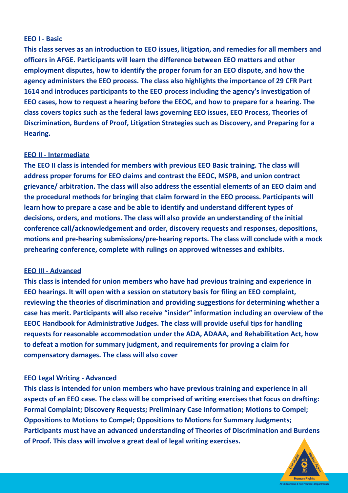#### **EEO I - Basic**

**This class serves as an introduction to EEO issues, litigation, and remedies for all members and officers in AFGE. Participants will learn the difference between EEO matters and other employment disputes, how to identify the proper forum for an EEO dispute, and how the agency administers the EEO process. The class also highlights the importance of 29 CFR Part 1614 and introduces participants to the EEO process including the agency's investigation of EEO cases, how to request a hearing before the EEOC, and how to prepare for a hearing. The class covers topics such as the federal laws governing EEO issues, EEO Process, Theories of Discrimination, Burdens of Proof, Litigation Strategies such as Discovery, and Preparing for a Hearing.**

#### **EEO II - Intermediate**

**The EEO II class is intended for members with previous EEO Basic training. The class will address proper forums for EEO claims and contrast the EEOC, MSPB, and union contract grievance/ arbitration. The class will also address the essential elements of an EEO claim and the procedural methods for bringing that claim forward in the EEO process. Participants will learn how to prepare a case and be able to identify and understand different types of decisions, orders, and motions. The class will also provide an understanding of the initial conference call/acknowledgement and order, discovery requests and responses, depositions, motions and pre-hearing submissions/pre-hearing reports. The class will conclude with a mock prehearing conference, complete with rulings on approved witnesses and exhibits.**

#### **EEO III - Advanced**

**This class is intended for union members who have had previous training and experience in EEO hearings. It will open with a session on statutory basis for filing an EEO complaint, reviewing the theories of discrimination and providing suggestions for determining whether a case has merit. Participants will also receive "insider" information including an overview of the EEOC Handbook for Administrative Judges. The class will provide useful tips for handling requests for reasonable accommodation under the ADA, ADAAA, and Rehabilitation Act, how to defeat a motion for summary judgment, and requirements for proving a claim for compensatory damages. The class will also cover**

#### **EEO Legal Writing - Advanced**

**This class is intended for union members who have previous training and experience in all aspects of an EEO case. The class will be comprised of writing exercises that focus on drafting: Formal Complaint; Discovery Requests; Preliminary Case Information; Motions to Compel; Oppositions to Motions to Compel; Oppositions to Motions for Summary Judgments; Participants must have an advanced understanding of Theories of Discrimination and Burdens of Proof. This class will involve a great deal of legal writing exercises.**